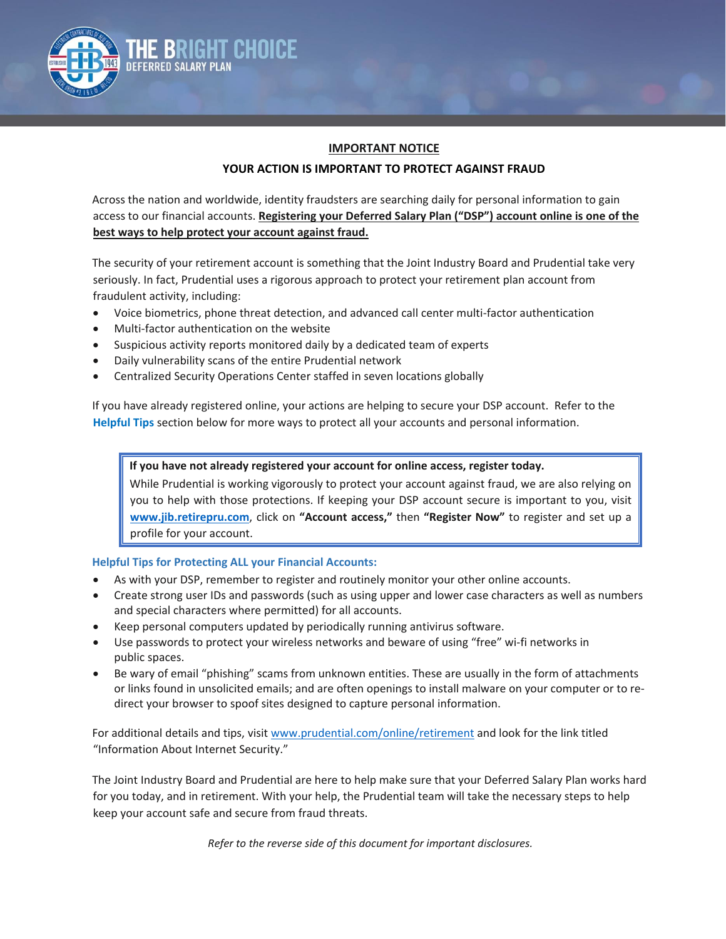

**The Bright Choice Deferred Salary Plan**

## **YOUR ACTION IS IMPORTANT TO PROTECT AGAINST FRAUD**

Across the nation and worldwide, identity fraudsters are searching daily for personal information to gain access to our financial accounts. **Registering your Deferred Salary Plan ("DSP") account online is one of the best ways to help protect your account against fraud.**

The security of your retirement account is something that the Joint Industry Board and Prudential take very seriously. In fact, Prudential uses a rigorous approach to protect your retirement plan account from fraudulent activity, including:

- Voice biometrics, phone threat detection, and advanced call center multi-factor authentication
- Multi-factor authentication on the website
- Suspicious activity reports monitored daily by a dedicated team of experts
- Daily vulnerability scans of the entire Prudential network
- Centralized Security Operations Center staffed in seven locations globally

If you have already registered online, your actions are helping to secure your DSP account. Refer to the **Helpful Tips** section below for more ways to protect all your accounts and personal information.

## **If you have not already registered your account for online access, register today.**

While Prudential is working vigorously to protect your account against fraud, we are also relying on you to help with those protections. If keeping your DSP account secure is important to you, visit **[www.jib.retirepru.com](http://www.jib.retirepru.com/)**, click on **"Account access,"** then **"Register Now"** to register and set up a profile for your account.

## **Helpful Tips for Protecting ALL your Financial Accounts:**

- As with your DSP, remember to register and routinely monitor your other online accounts.
- Create strong user IDs and passwords (such as using upper and lower case characters as well as numbers and special characters where permitted) for all accounts.
- Keep personal computers updated by periodically running antivirus software.
- Use passwords to protect your wireless networks and beware of using "free" wi-fi networks in public spaces.
- Be wary of email "phishing" scams from unknown entities. These are usually in the form of attachments or links found in unsolicited emails; and are often openings to install malware on your computer or to redirect your browser to spoof sites designed to capture personal information.

For additional details and tips, visi[t www.prudential.com/online/retirement](http://www.prudential.com/online/retirement) and look for the link titled "Information About Internet Security."

The Joint Industry Board and Prudential are here to help make sure that your Deferred Salary Plan works hard for you today, and in retirement. With your help, the Prudential team will take the necessary steps to help keep your account safe and secure from fraud threats.

*Refer to the reverse side of this document for important disclosures.*